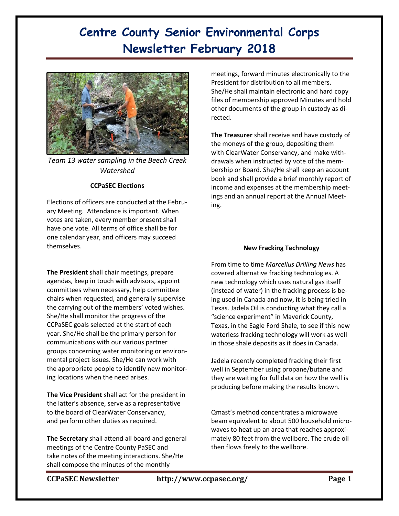# **Centre County Senior Environmental Corps Newsletter February 2018**



*Team 13 water sampling in the Beech Creek Watershed*

### **CCPaSEC Elections**

Elections of officers are conducted at the February Meeting. Attendance is important. When votes are taken, every member present shall have one vote. All terms of office shall be for one calendar year, and officers may succeed themselves.

**The President** shall chair meetings, prepare agendas, keep in touch with advisors, appoint committees when necessary, help committee chairs when requested, and generally supervise the carrying out of the members' voted wishes. She/He shall monitor the progress of the CCPaSEC goals selected at the start of each year. She/He shall be the primary person for communications with our various partner groups concerning water monitoring or environmental project issues. She/He can work with the appropriate people to identify new monitoring locations when the need arises.

**The Vice President** shall act for the president in the latter's absence, serve as a representative to the board of ClearWater Conservancy, and perform other duties as required.

**The Secretary** shall attend all board and general meetings of the Centre County PaSEC and take notes of the meeting interactions. She/He shall compose the minutes of the monthly

meetings, forward minutes electronically to the President for distribution to all members. She/He shall maintain electronic and hard copy files of membership approved Minutes and hold other documents of the group in custody as directed.

**The Treasurer** shall receive and have custody of the moneys of the group, depositing them with ClearWater Conservancy, and make withdrawals when instructed by vote of the membership or Board. She/He shall keep an account book and shall provide a brief monthly report of income and expenses at the membership meetings and an annual report at the Annual Meeting.

### **New Fracking Technology**

From time to time *Marcellus Drilling News* has covered alternative fracking technologies. A new technology which uses natural gas itself (instead of water) in the fracking process is being used in Canada and now, it is being tried in Texas. Jadela Oil is conducting what they call a "science experiment" in Maverick County, Texas, in the Eagle Ford Shale, to see if this new waterless fracking technology will work as well in those shale deposits as it does in Canada.

Jadela recently completed fracking their first well in September using propane/butane and they are waiting for full data on how the well is producing before making the results known.

Qmast's method concentrates a microwave beam equivalent to about 500 household microwaves to heat up an area that reaches approximately 80 feet from the wellbore. The crude oil then flows freely to the wellbore.